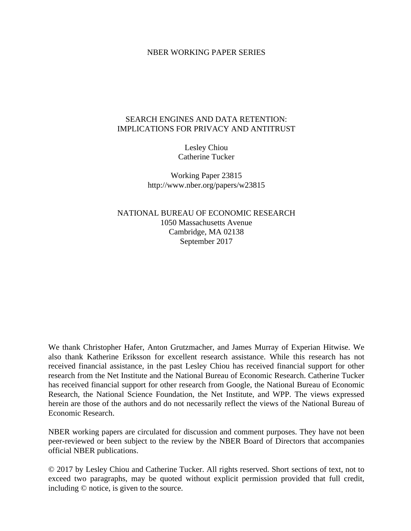### NBER WORKING PAPER SERIES

### SEARCH ENGINES AND DATA RETENTION: IMPLICATIONS FOR PRIVACY AND ANTITRUST

Lesley Chiou Catherine Tucker

Working Paper 23815 http://www.nber.org/papers/w23815

NATIONAL BUREAU OF ECONOMIC RESEARCH 1050 Massachusetts Avenue Cambridge, MA 02138 September 2017

We thank Christopher Hafer, Anton Grutzmacher, and James Murray of Experian Hitwise. We also thank Katherine Eriksson for excellent research assistance. While this research has not received financial assistance, in the past Lesley Chiou has received financial support for other research from the Net Institute and the National Bureau of Economic Research. Catherine Tucker has received financial support for other research from Google, the National Bureau of Economic Research, the National Science Foundation, the Net Institute, and WPP. The views expressed herein are those of the authors and do not necessarily reflect the views of the National Bureau of Economic Research.

NBER working papers are circulated for discussion and comment purposes. They have not been peer-reviewed or been subject to the review by the NBER Board of Directors that accompanies official NBER publications.

© 2017 by Lesley Chiou and Catherine Tucker. All rights reserved. Short sections of text, not to exceed two paragraphs, may be quoted without explicit permission provided that full credit, including © notice, is given to the source.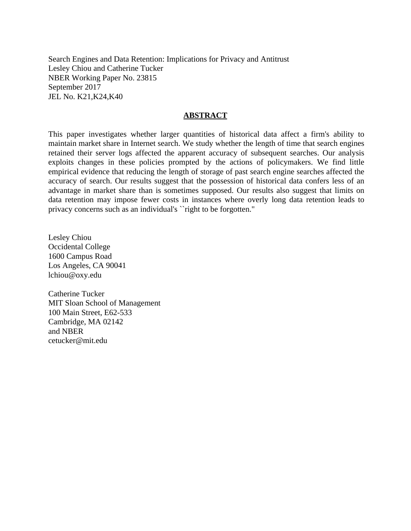Search Engines and Data Retention: Implications for Privacy and Antitrust Lesley Chiou and Catherine Tucker NBER Working Paper No. 23815 September 2017 JEL No. K21,K24,K40

### **ABSTRACT**

This paper investigates whether larger quantities of historical data affect a firm's ability to maintain market share in Internet search. We study whether the length of time that search engines retained their server logs affected the apparent accuracy of subsequent searches. Our analysis exploits changes in these policies prompted by the actions of policymakers. We find little empirical evidence that reducing the length of storage of past search engine searches affected the accuracy of search. Our results suggest that the possession of historical data confers less of an advantage in market share than is sometimes supposed. Our results also suggest that limits on data retention may impose fewer costs in instances where overly long data retention leads to privacy concerns such as an individual's ``right to be forgotten."

Lesley Chiou Occidental College 1600 Campus Road Los Angeles, CA 90041 lchiou@oxy.edu

Catherine Tucker MIT Sloan School of Management 100 Main Street, E62-533 Cambridge, MA 02142 and NBER cetucker@mit.edu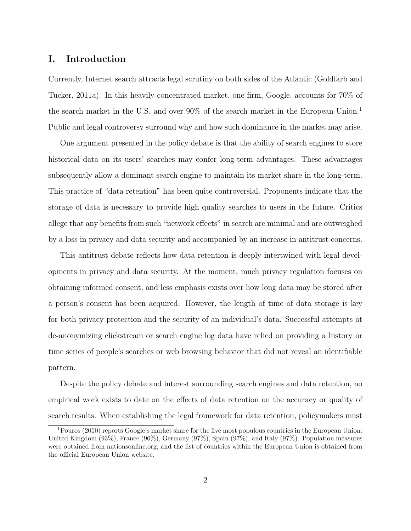# I. Introduction

Currently, Internet search attracts legal scrutiny on both sides of the Atlantic (Goldfarb and Tucker, 2011a). In this heavily concentrated market, one firm, Google, accounts for 70% of the search market in the U.S. and over 90% of the search market in the European Union.<sup>1</sup> Public and legal controversy surround why and how such dominance in the market may arise.

One argument presented in the policy debate is that the ability of search engines to store historical data on its users' searches may confer long-term advantages. These advantages subsequently allow a dominant search engine to maintain its market share in the long-term. This practice of "data retention" has been quite controversial. Proponents indicate that the storage of data is necessary to provide high quality searches to users in the future. Critics allege that any benefits from such "network effects" in search are minimal and are outweighed by a loss in privacy and data security and accompanied by an increase in antitrust concerns.

This antitrust debate reflects how data retention is deeply intertwined with legal developments in privacy and data security. At the moment, much privacy regulation focuses on obtaining informed consent, and less emphasis exists over how long data may be stored after a person's consent has been acquired. However, the length of time of data storage is key for both privacy protection and the security of an individual's data. Successful attempts at de-anonymizing clickstream or search engine log data have relied on providing a history or time series of people's searches or web browsing behavior that did not reveal an identifiable pattern.

Despite the policy debate and interest surrounding search engines and data retention, no empirical work exists to date on the effects of data retention on the accuracy or quality of search results. When establishing the legal framework for data retention, policymakers must

<sup>1</sup>Pouros (2010) reports Google's market share for the five most populous countries in the European Union: United Kingdom (93%), France (96%), Germany (97%), Spain (97%), and Italy (97%). Population measures were obtained from nationsonline.org, and the list of countries within the European Union is obtained from the official European Union website.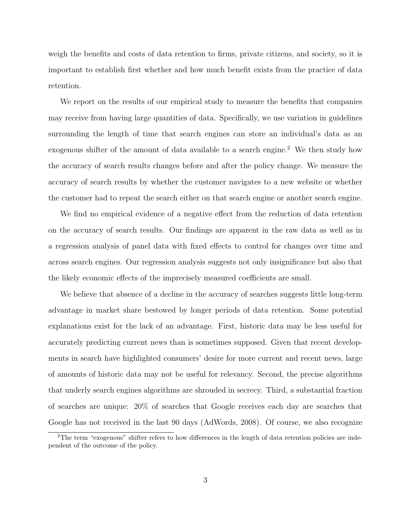weigh the benefits and costs of data retention to firms, private citizens, and society, so it is important to establish first whether and how much benefit exists from the practice of data retention.

We report on the results of our empirical study to measure the benefits that companies may receive from having large quantities of data. Specifically, we use variation in guidelines surrounding the length of time that search engines can store an individual's data as an exogenous shifter of the amount of data available to a search engine.<sup>2</sup> We then study how the accuracy of search results changes before and after the policy change. We measure the accuracy of search results by whether the customer navigates to a new website or whether the customer had to repeat the search either on that search engine or another search engine.

We find no empirical evidence of a negative effect from the reduction of data retention on the accuracy of search results. Our findings are apparent in the raw data as well as in a regression analysis of panel data with fixed effects to control for changes over time and across search engines. Our regression analysis suggests not only insignificance but also that the likely economic effects of the imprecisely measured coefficients are small.

We believe that absence of a decline in the accuracy of searches suggests little long-term advantage in market share bestowed by longer periods of data retention. Some potential explanations exist for the lack of an advantage. First, historic data may be less useful for accurately predicting current news than is sometimes supposed. Given that recent developments in search have highlighted consumers' desire for more current and recent news, large of amounts of historic data may not be useful for relevancy. Second, the precise algorithms that underly search engines algorithms are shrouded in secrecy. Third, a substantial fraction of searches are unique: 20% of searches that Google receives each day are searches that Google has not received in the last 90 days (AdWords, 2008). Of course, we also recognize

<sup>&</sup>lt;sup>2</sup>The term "exogenous" shifter refers to how differences in the length of data retention policies are independent of the outcome of the policy.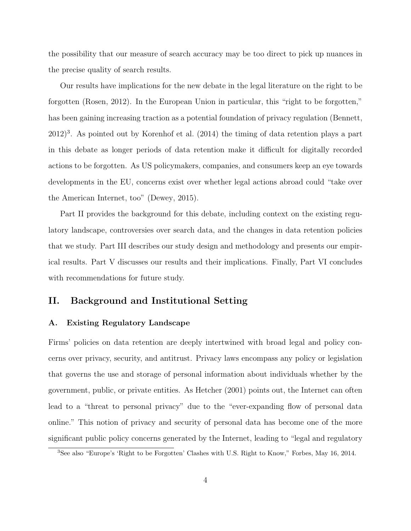the possibility that our measure of search accuracy may be too direct to pick up nuances in the precise quality of search results.

Our results have implications for the new debate in the legal literature on the right to be forgotten (Rosen, 2012). In the European Union in particular, this "right to be forgotten," has been gaining increasing traction as a potential foundation of privacy regulation (Bennett,  $(2012)^3$ . As pointed out by Korenhof et al.  $(2014)$  the timing of data retention plays a part in this debate as longer periods of data retention make it difficult for digitally recorded actions to be forgotten. As US policymakers, companies, and consumers keep an eye towards developments in the EU, concerns exist over whether legal actions abroad could "take over the American Internet, too" (Dewey, 2015).

Part II provides the background for this debate, including context on the existing regulatory landscape, controversies over search data, and the changes in data retention policies that we study. Part III describes our study design and methodology and presents our empirical results. Part V discusses our results and their implications. Finally, Part VI concludes with recommendations for future study.

### II. Background and Institutional Setting

#### A. Existing Regulatory Landscape

Firms' policies on data retention are deeply intertwined with broad legal and policy concerns over privacy, security, and antitrust. Privacy laws encompass any policy or legislation that governs the use and storage of personal information about individuals whether by the government, public, or private entities. As Hetcher (2001) points out, the Internet can often lead to a "threat to personal privacy" due to the "ever-expanding flow of personal data online." This notion of privacy and security of personal data has become one of the more significant public policy concerns generated by the Internet, leading to "legal and regulatory

<sup>3</sup>See also "Europe's 'Right to be Forgotten' Clashes with U.S. Right to Know," Forbes, May 16, 2014.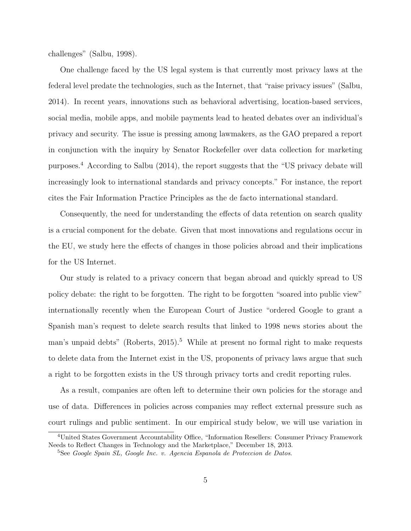challenges" (Salbu, 1998).

One challenge faced by the US legal system is that currently most privacy laws at the federal level predate the technologies, such as the Internet, that "raise privacy issues" (Salbu, 2014). In recent years, innovations such as behavioral advertising, location-based services, social media, mobile apps, and mobile payments lead to heated debates over an individual's privacy and security. The issue is pressing among lawmakers, as the GAO prepared a report in conjunction with the inquiry by Senator Rockefeller over data collection for marketing purposes.<sup>4</sup> According to Salbu (2014), the report suggests that the "US privacy debate will increasingly look to international standards and privacy concepts." For instance, the report cites the Fair Information Practice Principles as the de facto international standard.

Consequently, the need for understanding the effects of data retention on search quality is a crucial component for the debate. Given that most innovations and regulations occur in the EU, we study here the effects of changes in those policies abroad and their implications for the US Internet.

Our study is related to a privacy concern that began abroad and quickly spread to US policy debate: the right to be forgotten. The right to be forgotten "soared into public view" internationally recently when the European Court of Justice "ordered Google to grant a Spanish man's request to delete search results that linked to 1998 news stories about the man's unpaid debts" (Roberts, 2015).<sup>5</sup> While at present no formal right to make requests to delete data from the Internet exist in the US, proponents of privacy laws argue that such a right to be forgotten exists in the US through privacy torts and credit reporting rules.

As a result, companies are often left to determine their own policies for the storage and use of data. Differences in policies across companies may reflect external pressure such as court rulings and public sentiment. In our empirical study below, we will use variation in

<sup>4</sup>United States Government Accountability Office, "Information Resellers: Consumer Privacy Framework Needs to Reflect Changes in Technology and the Marketplace," December 18, 2013.

<sup>5</sup>See Google Spain SL, Google Inc. v. Agencia Espanola de Proteccion de Datos.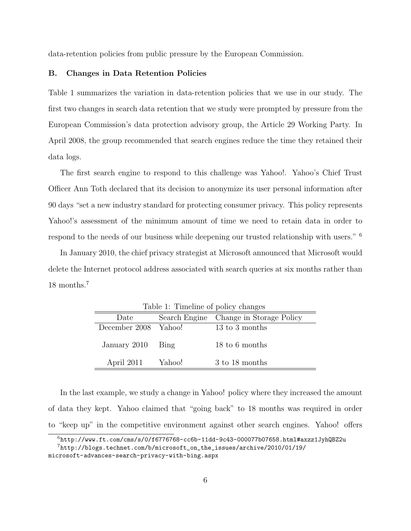data-retention policies from public pressure by the European Commission.

#### B. Changes in Data Retention Policies

Table 1 summarizes the variation in data-retention policies that we use in our study. The first two changes in search data retention that we study were prompted by pressure from the European Commission's data protection advisory group, the Article 29 Working Party. In April 2008, the group recommended that search engines reduce the time they retained their data logs.

The first search engine to respond to this challenge was Yahoo!. Yahoo's Chief Trust Officer Ann Toth declared that its decision to anonymize its user personal information after 90 days "set a new industry standard for protecting consumer privacy. This policy represents Yahoo!'s assessment of the minimum amount of time we need to retain data in order to respond to the needs of our business while deepening our trusted relationship with users." <sup>6</sup>

In January 2010, the chief privacy strategist at Microsoft announced that Microsoft would delete the Internet protocol address associated with search queries at six months rather than 18 months.<sup>7</sup>

| Table 1: Timeline of policy changes |        |                                        |  |
|-------------------------------------|--------|----------------------------------------|--|
| Date                                |        | Search Engine Change in Storage Policy |  |
| December 2008 Yahoo!                |        | 13 to 3 months                         |  |
| January 2010 Bing                   |        | 18 to 6 months                         |  |
| April 2011                          | Yahoo! | 3 to 18 months                         |  |

In the last example, we study a change in Yahoo! policy where they increased the amount of data they kept. Yahoo claimed that "going back" to 18 months was required in order to "keep up" in the competitive environment against other search engines. Yahoo! offers

 $6$ http://www.ft.com/cms/s/0/f6776768-cc6b-11dd-9c43-000077b07658.html#axzz1JyhQBZ2u

 $7$ http://blogs.technet.com/b/microsoft\_on\_the\_issues/archive/2010/01/19/ microsoft-advances-search-privacy-with-bing.aspx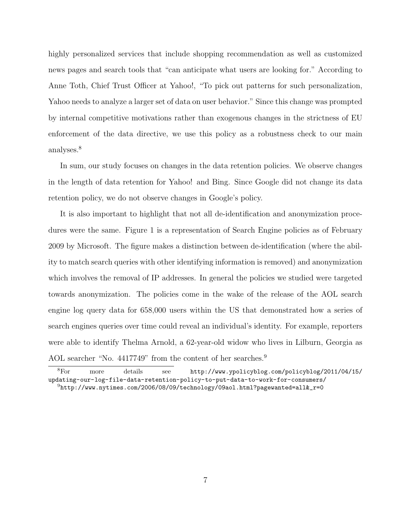highly personalized services that include shopping recommendation as well as customized news pages and search tools that "can anticipate what users are looking for." According to Anne Toth, Chief Trust Officer at Yahoo!, "To pick out patterns for such personalization, Yahoo needs to analyze a larger set of data on user behavior." Since this change was prompted by internal competitive motivations rather than exogenous changes in the strictness of EU enforcement of the data directive, we use this policy as a robustness check to our main analyses.<sup>8</sup>

In sum, our study focuses on changes in the data retention policies. We observe changes in the length of data retention for Yahoo! and Bing. Since Google did not change its data retention policy, we do not observe changes in Google's policy.

It is also important to highlight that not all de-identification and anonymization procedures were the same. Figure 1 is a representation of Search Engine policies as of February 2009 by Microsoft. The figure makes a distinction between de-identification (where the ability to match search queries with other identifying information is removed) and anonymization which involves the removal of IP addresses. In general the policies we studied were targeted towards anonymization. The policies come in the wake of the release of the AOL search engine log query data for 658,000 users within the US that demonstrated how a series of search engines queries over time could reveal an individual's identity. For example, reporters were able to identify Thelma Arnold, a 62-year-old widow who lives in Lilburn, Georgia as AOL searcher "No. 4417749" from the content of her searches.<sup>9</sup>

<sup>8</sup>For more details see http://www.ypolicyblog.com/policyblog/2011/04/15/ updating-our-log-file-data-retention-policy-to-put-data-to-work-for-consumers/

 $^{9}$ http://www.nytimes.com/2006/08/09/technology/09aol.html?pagewanted=all&\_r=0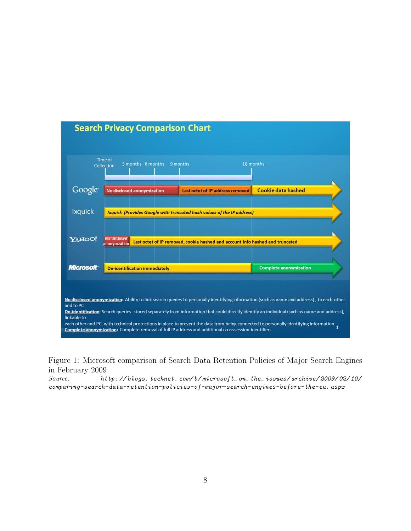

Figure 1: Microsoft comparison of Search Data Retention Policies of Major Search Engines in February 2009

Source: http: // blogs. technet. com/ b/ microsoft\_ on\_ the\_ issues/ archive/ 2009/ 02/ 10/ comparing-search-data-retention-policies-of-major-search-engines-before-the-eu. aspx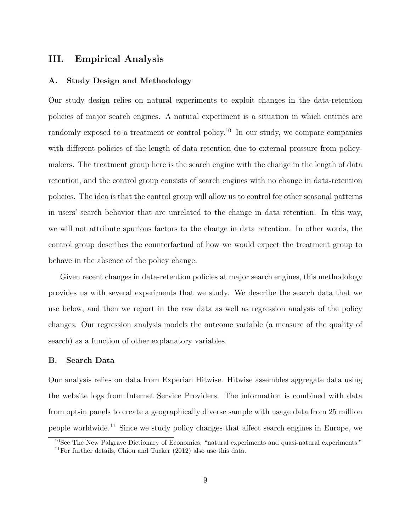## III. Empirical Analysis

#### A. Study Design and Methodology

Our study design relies on natural experiments to exploit changes in the data-retention policies of major search engines. A natural experiment is a situation in which entities are randomly exposed to a treatment or control policy.<sup>10</sup> In our study, we compare companies with different policies of the length of data retention due to external pressure from policymakers. The treatment group here is the search engine with the change in the length of data retention, and the control group consists of search engines with no change in data-retention policies. The idea is that the control group will allow us to control for other seasonal patterns in users' search behavior that are unrelated to the change in data retention. In this way, we will not attribute spurious factors to the change in data retention. In other words, the control group describes the counterfactual of how we would expect the treatment group to behave in the absence of the policy change.

Given recent changes in data-retention policies at major search engines, this methodology provides us with several experiments that we study. We describe the search data that we use below, and then we report in the raw data as well as regression analysis of the policy changes. Our regression analysis models the outcome variable (a measure of the quality of search) as a function of other explanatory variables.

#### B. Search Data

Our analysis relies on data from Experian Hitwise. Hitwise assembles aggregate data using the website logs from Internet Service Providers. The information is combined with data from opt-in panels to create a geographically diverse sample with usage data from 25 million people worldwide.<sup>11</sup> Since we study policy changes that affect search engines in Europe, we

<sup>&</sup>lt;sup>10</sup>See The New Palgrave Dictionary of Economics, "natural experiments and quasi-natural experiments." <sup>11</sup>For further details, Chiou and Tucker (2012) also use this data.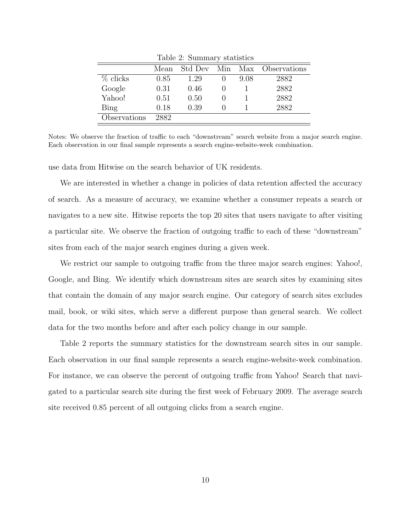|              | Mean | Std Dev | Min |      | Max Observations |
|--------------|------|---------|-----|------|------------------|
| $%$ clicks   | 0.85 | 1.29    |     | 9.08 | 2882             |
| Google       | 0.31 | 0.46    |     |      | 2882             |
| Yahoo!       | 0.51 | 0.50    |     |      | 2882             |
| Bing         | 0.18 | 0.39    |     |      | 2882             |
| Observations | 2882 |         |     |      |                  |

Table 2: Summary statistics

Notes: We observe the fraction of traffic to each "downstream" search website from a major search engine. Each observation in our final sample represents a search engine-website-week combination.

use data from Hitwise on the search behavior of UK residents.

We are interested in whether a change in policies of data retention affected the accuracy of search. As a measure of accuracy, we examine whether a consumer repeats a search or navigates to a new site. Hitwise reports the top 20 sites that users navigate to after visiting a particular site. We observe the fraction of outgoing traffic to each of these "downstream" sites from each of the major search engines during a given week.

We restrict our sample to outgoing traffic from the three major search engines: Yahoo!, Google, and Bing. We identify which downstream sites are search sites by examining sites that contain the domain of any major search engine. Our category of search sites excludes mail, book, or wiki sites, which serve a different purpose than general search. We collect data for the two months before and after each policy change in our sample.

Table 2 reports the summary statistics for the downstream search sites in our sample. Each observation in our final sample represents a search engine-website-week combination. For instance, we can observe the percent of outgoing traffic from Yahoo! Search that navigated to a particular search site during the first week of February 2009. The average search site received 0.85 percent of all outgoing clicks from a search engine.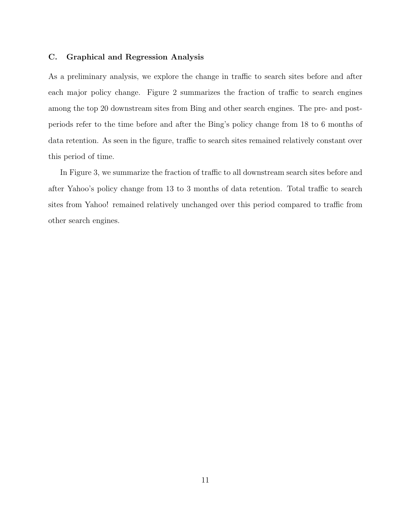#### C. Graphical and Regression Analysis

As a preliminary analysis, we explore the change in traffic to search sites before and after each major policy change. Figure 2 summarizes the fraction of traffic to search engines among the top 20 downstream sites from Bing and other search engines. The pre- and postperiods refer to the time before and after the Bing's policy change from 18 to 6 months of data retention. As seen in the figure, traffic to search sites remained relatively constant over this period of time.

In Figure 3, we summarize the fraction of traffic to all downstream search sites before and after Yahoo's policy change from 13 to 3 months of data retention. Total traffic to search sites from Yahoo! remained relatively unchanged over this period compared to traffic from other search engines.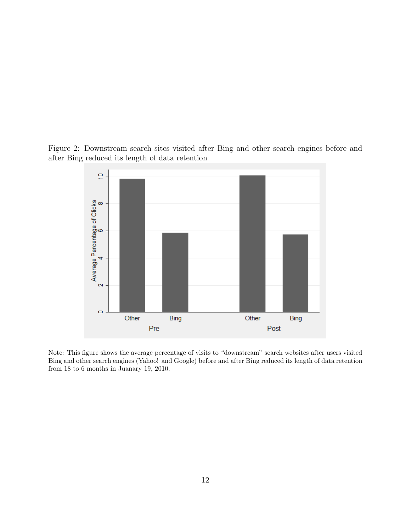Figure 2: Downstream search sites visited after Bing and other search engines before and after Bing reduced its length of data retention



Note: This figure shows the average percentage of visits to "downstream" search websites after users visited Bing and other search engines (Yahoo! and Google) before and after Bing reduced its length of data retention from 18 to 6 months in Juanary 19, 2010.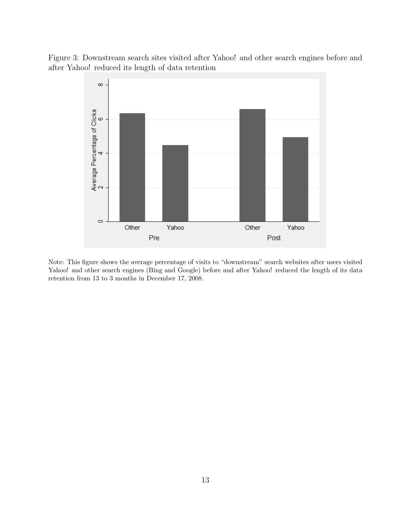Figure 3: Downstream search sites visited after Yahoo! and other search engines before and after Yahoo! reduced its length of data retention



Note: This figure shows the average percentage of visits to "downstream" search websites after users visited Yahoo! and other search engines (Bing and Google) before and after Yahoo! reduced the length of its data retention from 13 to 3 months in December 17, 2008.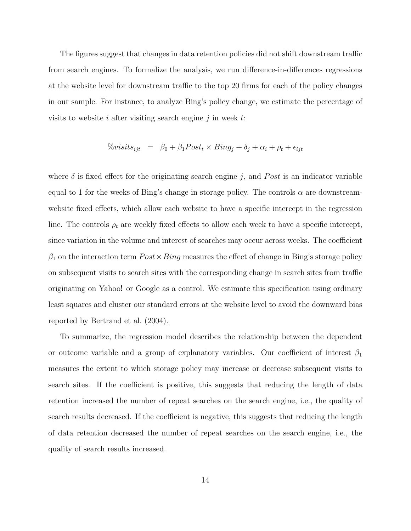The figures suggest that changes in data retention policies did not shift downstream traffic from search engines. To formalize the analysis, we run difference-in-differences regressions at the website level for downstream traffic to the top 20 firms for each of the policy changes in our sample. For instance, to analyze Bing's policy change, we estimate the percentage of visits to website i after visiting search engine j in week  $t$ :

$$
\%visits_{ijt} = \beta_0 + \beta_1 Post_t \times Bing_j + \delta_j + \alpha_i + \rho_t + \epsilon_{ijt}
$$

where  $\delta$  is fixed effect for the originating search engine j, and Post is an indicator variable equal to 1 for the weeks of Bing's change in storage policy. The controls  $\alpha$  are downstreamwebsite fixed effects, which allow each website to have a specific intercept in the regression line. The controls  $\rho_t$  are weekly fixed effects to allow each week to have a specific intercept, since variation in the volume and interest of searches may occur across weeks. The coefficient  $\beta_1$  on the interaction term  $Post \times Bing$  measures the effect of change in Bing's storage policy on subsequent visits to search sites with the corresponding change in search sites from traffic originating on Yahoo! or Google as a control. We estimate this specification using ordinary least squares and cluster our standard errors at the website level to avoid the downward bias reported by Bertrand et al. (2004).

To summarize, the regression model describes the relationship between the dependent or outcome variable and a group of explanatory variables. Our coefficient of interest  $\beta_1$ measures the extent to which storage policy may increase or decrease subsequent visits to search sites. If the coefficient is positive, this suggests that reducing the length of data retention increased the number of repeat searches on the search engine, i.e., the quality of search results decreased. If the coefficient is negative, this suggests that reducing the length of data retention decreased the number of repeat searches on the search engine, i.e., the quality of search results increased.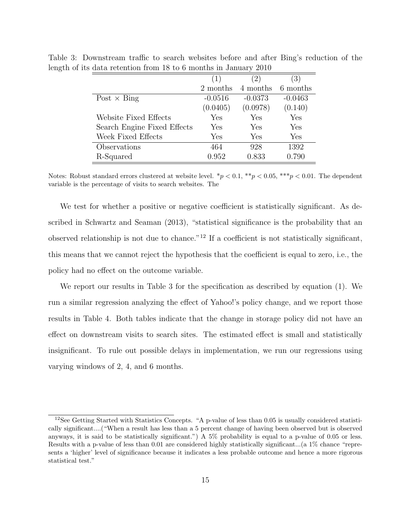|                             | (1)       | $\left(2\right)$ | $\left(3\right)$ |
|-----------------------------|-----------|------------------|------------------|
|                             | 2 months  | 4 months         | 6 months         |
| Post $\times$ Bing          | $-0.0516$ | $-0.0373$        | $-0.0463$        |
|                             | (0.0405)  | (0.0978)         | (0.140)          |
| Website Fixed Effects       | Yes       | Yes              | Yes              |
| Search Engine Fixed Effects | Yes       | Yes              | Yes              |
| Week Fixed Effects          | Yes       | Yes              | Yes              |
| Observations                | 464       | 928              | 1392             |
| R-Squared                   | 0.952     | 0.833            | 0.790            |

Table 3: Downstream traffic to search websites before and after Bing's reduction of the length of its data retention from 18 to 6 months in January 2010

Notes: Robust standard errors clustered at website level.  $*p < 0.1$ ,  $**p < 0.05$ ,  $***p < 0.01$ . The dependent variable is the percentage of visits to search websites. The

We test for whether a positive or negative coefficient is statistically significant. As described in Schwartz and Seaman (2013), "statistical significance is the probability that an observed relationship is not due to chance."<sup>12</sup> If a coefficient is not statistically significant, this means that we cannot reject the hypothesis that the coefficient is equal to zero, i.e., the policy had no effect on the outcome variable.

We report our results in Table 3 for the specification as described by equation (1). We run a similar regression analyzing the effect of Yahoo!'s policy change, and we report those results in Table 4. Both tables indicate that the change in storage policy did not have an effect on downstream visits to search sites. The estimated effect is small and statistically insignificant. To rule out possible delays in implementation, we run our regressions using varying windows of 2, 4, and 6 months.

<sup>12</sup>See Getting Started with Statistics Concepts. "A p-value of less than 0.05 is usually considered statistically significant....("When a result has less than a 5 percent change of having been observed but is observed anyways, it is said to be statistically significant.") A 5% probability is equal to a p-value of 0.05 or less. Results with a p-value of less than 0.01 are considered highly statistically significant...(a 1% chance "represents a 'higher' level of significance because it indicates a less probable outcome and hence a more rigorous statistical test."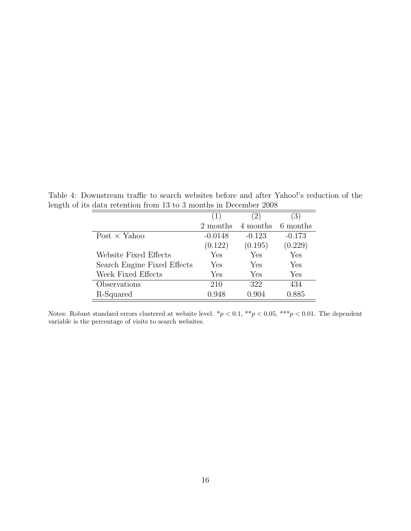Table 4: Downstream traffic to search websites before and after Yahoo!'s reduction of the length of its data retention from 13 to 3 months in December 2008  $=$ 

|                             | (1)       | (2)      | $ 3\rangle$ |
|-----------------------------|-----------|----------|-------------|
|                             | 2 months  | 4 months | 6 months    |
| Post $\times$ Yahoo         | $-0.0148$ | $-0.123$ | $-0.173$    |
|                             | (0.122)   | (0.195)  | (0.229)     |
| Website Fixed Effects       | Yes       | Yes      | Yes         |
| Search Engine Fixed Effects | Yes       | Yes      | Yes         |
| Week Fixed Effects          | Yes       | Yes      | Yes         |
| Observations                | 210       | 322      | 434         |
| R-Squared                   | 0.948     | 0.904    | 0.885       |

Notes: Robust standard errors clustered at website level.  $*p < 0.1$ ,  $**p < 0.05$ ,  $***p < 0.01$ . The dependent variable is the percentage of visits to search websites.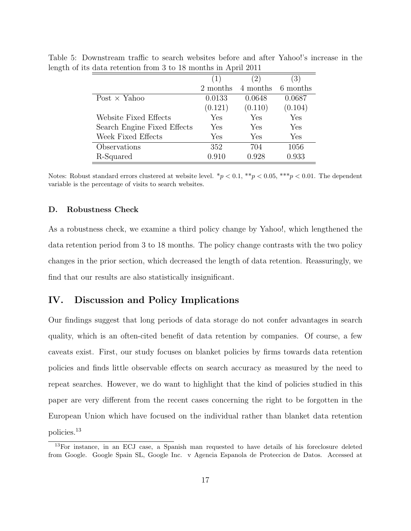|                             | (1)      | $\left(2\right)$ | (3)      |
|-----------------------------|----------|------------------|----------|
|                             | 2 months | 4 months         | 6 months |
| Post $\times$ Yahoo         | 0.0133   | 0.0648           | 0.0687   |
|                             | (0.121)  | (0.110)          | (0.104)  |
| Website Fixed Effects       | Yes      | Yes              | Yes      |
| Search Engine Fixed Effects | Yes      | Yes              | Yes      |
| Week Fixed Effects          | Yes      | Yes              | Yes      |
| Observations                | 352      | 704              | 1056     |
| R-Squared                   | 0.910    | 0.928            | 0.933    |

Table 5: Downstream traffic to search websites before and after Yahoo!'s increase in the length of its data retention from 3 to 18 months in April 2011

Notes: Robust standard errors clustered at website level.  $*p < 0.1$ ,  $**p < 0.05$ ,  $***p < 0.01$ . The dependent variable is the percentage of visits to search websites.

#### D. Robustness Check

As a robustness check, we examine a third policy change by Yahoo!, which lengthened the data retention period from 3 to 18 months. The policy change contrasts with the two policy changes in the prior section, which decreased the length of data retention. Reassuringly, we find that our results are also statistically insignificant.

## IV. Discussion and Policy Implications

Our findings suggest that long periods of data storage do not confer advantages in search quality, which is an often-cited benefit of data retention by companies. Of course, a few caveats exist. First, our study focuses on blanket policies by firms towards data retention policies and finds little observable effects on search accuracy as measured by the need to repeat searches. However, we do want to highlight that the kind of policies studied in this paper are very different from the recent cases concerning the right to be forgotten in the European Union which have focused on the individual rather than blanket data retention policies.<sup>13</sup>

<sup>13</sup>For instance, in an ECJ case, a Spanish man requested to have details of his foreclosure deleted from Google. Google Spain SL, Google Inc. v Agencia Espanola de Proteccion de Datos. Accessed at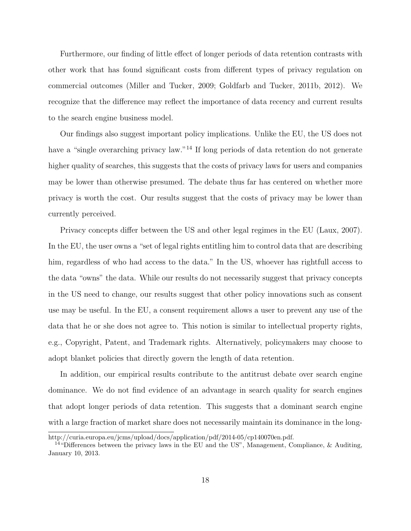Furthermore, our finding of little effect of longer periods of data retention contrasts with other work that has found significant costs from different types of privacy regulation on commercial outcomes (Miller and Tucker, 2009; Goldfarb and Tucker, 2011b, 2012). We recognize that the difference may reflect the importance of data recency and current results to the search engine business model.

Our findings also suggest important policy implications. Unlike the EU, the US does not have a "single overarching privacy law."<sup>14</sup> If long periods of data retention do not generate higher quality of searches, this suggests that the costs of privacy laws for users and companies may be lower than otherwise presumed. The debate thus far has centered on whether more privacy is worth the cost. Our results suggest that the costs of privacy may be lower than currently perceived.

Privacy concepts differ between the US and other legal regimes in the EU (Laux, 2007). In the EU, the user owns a "set of legal rights entitling him to control data that are describing him, regardless of who had access to the data." In the US, whoever has rightfull access to the data "owns" the data. While our results do not necessarily suggest that privacy concepts in the US need to change, our results suggest that other policy innovations such as consent use may be useful. In the EU, a consent requirement allows a user to prevent any use of the data that he or she does not agree to. This notion is similar to intellectual property rights, e.g., Copyright, Patent, and Trademark rights. Alternatively, policymakers may choose to adopt blanket policies that directly govern the length of data retention.

In addition, our empirical results contribute to the antitrust debate over search engine dominance. We do not find evidence of an advantage in search quality for search engines that adopt longer periods of data retention. This suggests that a dominant search engine with a large fraction of market share does not necessarily maintain its dominance in the long-

http://curia.europa.eu/jcms/upload/docs/application/pdf/2014-05/cp140070en.pdf.

<sup>&</sup>lt;sup>14</sup> "Differences between the privacy laws in the EU and the US", Management, Compliance, & Auditing, January 10, 2013.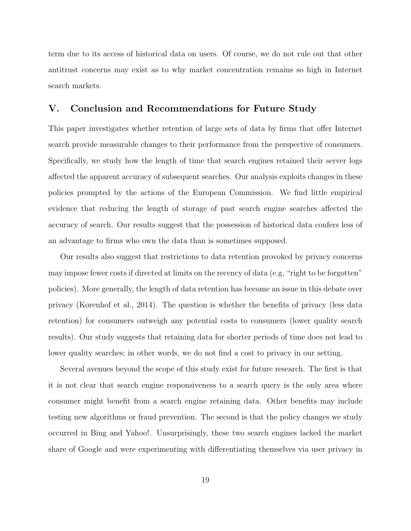term due to its access of historical data on users. Of course, we do not rule out that other antitrust concerns may exist as to why market concentration remains so high in Internet search markets.

### V. Conclusion and Recommendations for Future Study

This paper investigates whether retention of large sets of data by firms that offer Internet search provide measurable changes to their performance from the perspective of consumers. Specifically, we study how the length of time that search engines retained their server logs affected the apparent accuracy of subsequent searches. Our analysis exploits changes in these policies prompted by the actions of the European Commission. We find little empirical evidence that reducing the length of storage of past search engine searches affected the accuracy of search. Our results suggest that the possession of historical data confers less of an advantage to firms who own the data than is sometimes supposed.

Our results also suggest that restrictions to data retention provoked by privacy concerns may impose fewer costs if directed at limits on the recency of data (e.g, "right to be forgotten" policies). More generally, the length of data retention has become an issue in this debate over privacy (Korenhof et al., 2014). The question is whether the benefits of privacy (less data retention) for consumers outweigh any potential costs to consumers (lower quality search results). Our study suggests that retaining data for shorter periods of time does not lead to lower quality searches; in other words, we do not find a cost to privacy in our setting.

Several avenues beyond the scope of this study exist for future research. The first is that it is not clear that search engine responsiveness to a search query is the only area where consumer might benefit from a search engine retaining data. Other benefits may include testing new algorithms or fraud prevention. The second is that the policy changes we study occurred in Bing and Yahoo!. Unsurprisingly, these two search engines lacked the market share of Google and were experimenting with differentiating themselves via user privacy in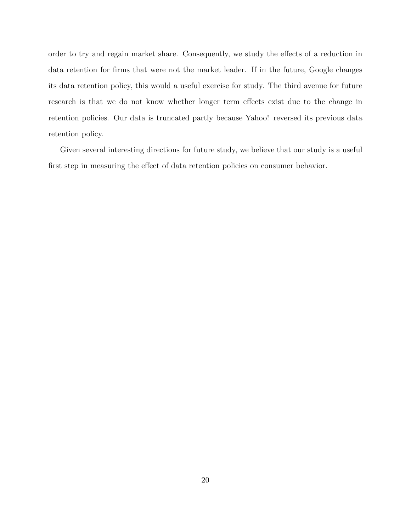order to try and regain market share. Consequently, we study the effects of a reduction in data retention for firms that were not the market leader. If in the future, Google changes its data retention policy, this would a useful exercise for study. The third avenue for future research is that we do not know whether longer term effects exist due to the change in retention policies. Our data is truncated partly because Yahoo! reversed its previous data retention policy.

Given several interesting directions for future study, we believe that our study is a useful first step in measuring the effect of data retention policies on consumer behavior.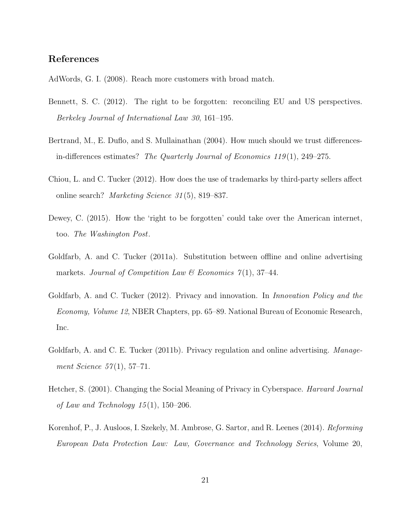# References

AdWords, G. I. (2008). Reach more customers with broad match.

- Bennett, S. C. (2012). The right to be forgotten: reconciling EU and US perspectives. Berkeley Journal of International Law 30, 161–195.
- Bertrand, M., E. Duflo, and S. Mullainathan (2004). How much should we trust differencesin-differences estimates? The Quarterly Journal of Economics  $119(1)$ , 249–275.
- Chiou, L. and C. Tucker (2012). How does the use of trademarks by third-party sellers affect online search? Marketing Science 31 (5), 819–837.
- Dewey, C. (2015). How the 'right to be forgotten' could take over the American internet, too. The Washington Post.
- Goldfarb, A. and C. Tucker (2011a). Substitution between offline and online advertising markets. Journal of Competition Law & Economics 7(1), 37-44.
- Goldfarb, A. and C. Tucker (2012). Privacy and innovation. In *Innovation Policy and the* Economy, Volume 12, NBER Chapters, pp. 65–89. National Bureau of Economic Research, Inc.
- Goldfarb, A. and C. E. Tucker (2011b). Privacy regulation and online advertising. Management Science  $57(1), 57-71.$
- Hetcher, S. (2001). Changing the Social Meaning of Privacy in Cyberspace. Harvard Journal of Law and Technology  $15(1)$ , 150–206.
- Korenhof, P., J. Ausloos, I. Szekely, M. Ambrose, G. Sartor, and R. Leenes (2014). Reforming European Data Protection Law: Law, Governance and Technology Series, Volume 20,